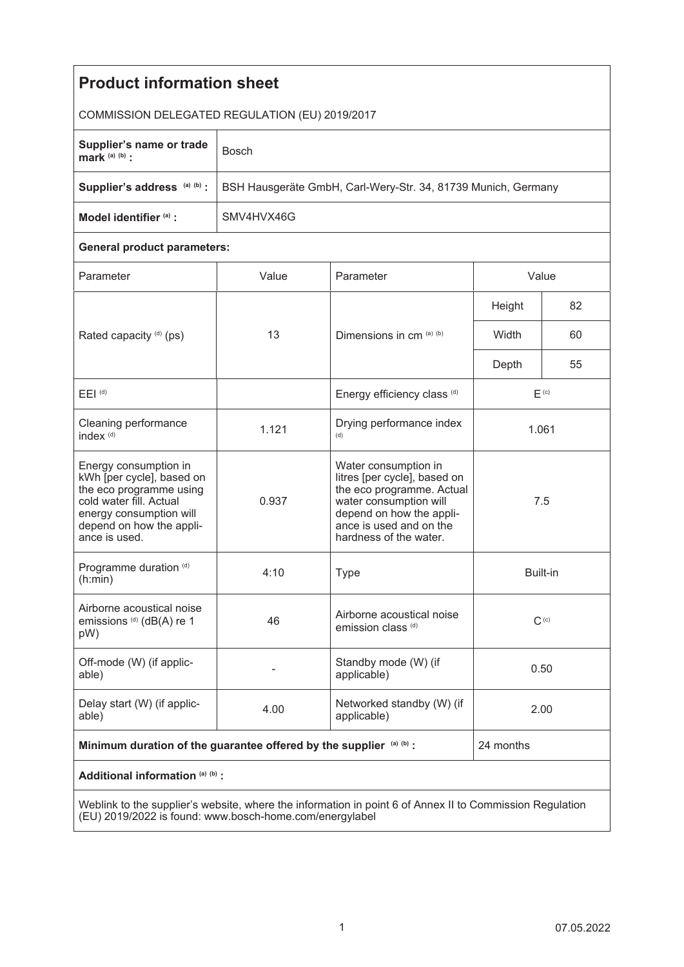| <b>Product information sheet</b>                                                                                                                                                 |                                                               |                                                                                                                                                                                              |                  |    |
|----------------------------------------------------------------------------------------------------------------------------------------------------------------------------------|---------------------------------------------------------------|----------------------------------------------------------------------------------------------------------------------------------------------------------------------------------------------|------------------|----|
| COMMISSION DELEGATED REGULATION (EU) 2019/2017                                                                                                                                   |                                                               |                                                                                                                                                                                              |                  |    |
| Supplier's name or trade<br>mark $(a)$ $(b)$ :                                                                                                                                   | <b>Bosch</b>                                                  |                                                                                                                                                                                              |                  |    |
| Supplier's address (a) (b) :                                                                                                                                                     | BSH Hausgeräte GmbH, Carl-Wery-Str. 34, 81739 Munich, Germany |                                                                                                                                                                                              |                  |    |
| Model identifier (a) :                                                                                                                                                           | SMV4HVX46G                                                    |                                                                                                                                                                                              |                  |    |
| <b>General product parameters:</b>                                                                                                                                               |                                                               |                                                                                                                                                                                              |                  |    |
| Parameter                                                                                                                                                                        | Value                                                         | Parameter                                                                                                                                                                                    | Value            |    |
| Rated capacity (d) (ps)                                                                                                                                                          | 13                                                            | Dimensions in cm (a) (b)                                                                                                                                                                     | Height           | 82 |
|                                                                                                                                                                                  |                                                               |                                                                                                                                                                                              | Width            | 60 |
|                                                                                                                                                                                  |                                                               |                                                                                                                                                                                              | Depth            | 55 |
| $E EI$ <sup>(d)</sup>                                                                                                                                                            |                                                               | Energy efficiency class (d)                                                                                                                                                                  | F <sub>(c)</sub> |    |
| Cleaning performance<br>index <sup>(d)</sup>                                                                                                                                     | 1.121                                                         | Drying performance index<br>(d)                                                                                                                                                              | 1.061            |    |
| Energy consumption in<br>kWh [per cycle], based on<br>the eco programme using<br>cold water fill. Actual<br>energy consumption will<br>depend on how the appli-<br>ance is used. | 0.937                                                         | Water consumption in<br>litres [per cycle], based on<br>the eco programme. Actual<br>water consumption will<br>depend on how the appli-<br>ance is used and on the<br>hardness of the water. | 7.5              |    |
| Programme duration (d)<br>(h:min)                                                                                                                                                | 4:10                                                          | <b>Type</b>                                                                                                                                                                                  | Built-in         |    |
| Airborne acoustical noise<br>emissions (d) (dB(A) re 1<br>pW)                                                                                                                    | 46                                                            | Airborne acoustical noise<br>emission class <sup>(d)</sup>                                                                                                                                   | $C^{(c)}$        |    |
| Off-mode (W) (if applic-<br>able)                                                                                                                                                |                                                               | Standby mode (W) (if<br>applicable)                                                                                                                                                          | 0.50             |    |
| Delay start (W) (if applic-<br>able)                                                                                                                                             | 4.00                                                          | Networked standby (W) (if<br>applicable)                                                                                                                                                     | 2.00             |    |
| Minimum duration of the guarantee offered by the supplier (a) (b) :                                                                                                              |                                                               |                                                                                                                                                                                              | 24 months        |    |
| Additional information (a) (b) :                                                                                                                                                 |                                                               |                                                                                                                                                                                              |                  |    |
| Weblink to the supplier's website, where the information in point 6 of Annex II to Commission Requisition                                                                        |                                                               |                                                                                                                                                                                              |                  |    |

Weblink to the supplier's website, where the information in point 6 of Annex II to Commission Regulation (EU) 2019/2022 is found: www.bosch-home.com/energylabel